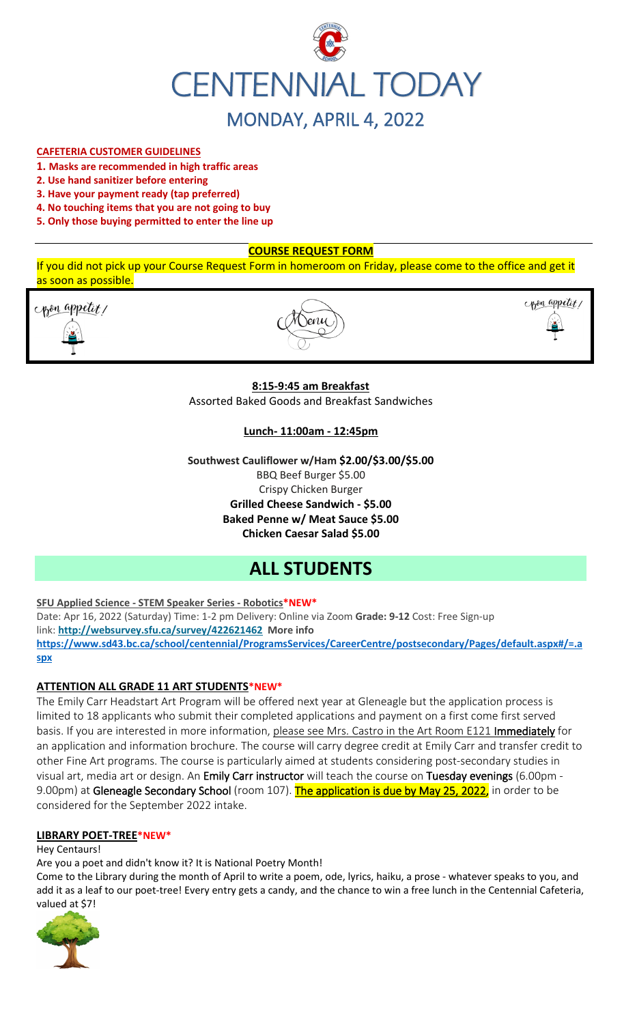

## **CAFETERIA CUSTOMER GUIDELINES**

- **1. Masks are recommended in high traffic areas**
- **2. Use hand sanitizer before entering**
- **3. Have your payment ready (tap preferred)**
- **4. No touching items that you are not going to buy**
- **5. Only those buying permitted to enter the line up**

## **COURSE REQUEST FORM**

If you did not pick up your Course Request Form in homeroom on Friday, please come to the office and get it as soon as possible.

com appetit/





# **8:15-9:45 am Breakfast**

Assorted Baked Goods and Breakfast Sandwiches

## **Lunch- 11:00am - 12:45pm**

**Southwest Cauliflower w/Ham \$2.00/\$3.00/\$5.00** BBQ Beef Burger \$5.00 Crispy Chicken Burger **Grilled Cheese Sandwich - \$5.00 Baked Penne w/ Meat Sauce \$5.00 Chicken Caesar Salad \$5.00**

# **ALL STUDENTS**

**SFU Applied Science - STEM Speaker Series - Robotics\*NEW\***

Date: Apr 16, 2022 (Saturday) Time: 1-2 pm Delivery: Online via Zoom **Grade: 9-12** Cost: Free Sign-up link: **<http://websurvey.sfu.ca/survey/422621462> More info [https://www.sd43.bc.ca/school/centennial/ProgramsServices/CareerCentre/postsecondary/Pages/default.aspx#/=.a](https://www.sd43.bc.ca/school/centennial/ProgramsServices/CareerCentre/postsecondary/Pages/default.aspx#/=) [spx](https://www.sd43.bc.ca/school/centennial/ProgramsServices/CareerCentre/postsecondary/Pages/default.aspx#/=)**

# **ATTENTION ALL GRADE 11 ART STUDENTS\*NEW\***

The Emily Carr Headstart Art Program will be offered next year at Gleneagle but the application process is limited to 18 applicants who submit their completed applications and payment on a first come first served basis. If you are interested in more information, please see Mrs. Castro in the Art Room E121 Immediately for an application and information brochure. The course will carry degree credit at Emily Carr and transfer credit to other Fine Art programs. The course is particularly aimed at students considering post-secondary studies in visual art, media art or design. An Emily Carr instructor will teach the course on Tuesday evenings (6.00pm -9.00pm) at Gleneagle Secondary School (room 107). The application is due by May 25, 2022, in order to be considered for the September 2022 intake.

## **LIBRARY POET-TREE\*NEW\***

Hey Centaurs!

Are you a poet and didn't know it? It is National Poetry Month!

Come to the Library during the month of April to write a poem, ode, lyrics, haiku, a prose - whatever speaks to you, and add it as a leaf to our poet-tree! Every entry gets a candy, and the chance to win a free lunch in the Centennial Cafeteria, valued at \$7!

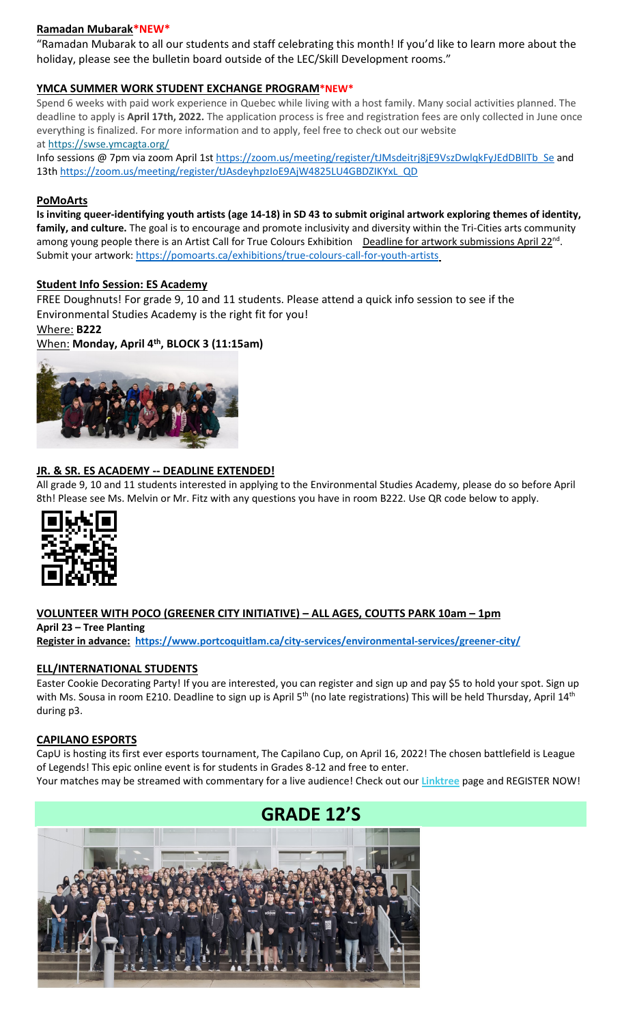## **Ramadan Mubarak\*NEW\***

"Ramadan Mubarak to all our students and staff celebrating this month! If you'd like to learn more about the holiday, please see the bulletin board outside of the LEC/Skill Development rooms."

## **YMCA SUMMER WORK STUDENT EXCHANGE PROGRAM\*NEW\***

Spend 6 weeks with paid work experience in Quebec while living with a host family. Many social activities planned. The deadline to apply is **April 17th, 2022.** The application process is free and registration fees are only collected in June once everything is finalized. For more information and to apply, feel free to check out our website at <https://swse.ymcagta.org/>

Info sessions @ 7pm via zoom April 1s[t https://zoom.us/meeting/register/tJMsdeitrj8jE9VszDwlqkFyJEdDBlITb\\_Se](https://zoom.us/meeting/register/tJMsdeitrj8jE9VszDwlqkFyJEdDBlITb_Se) and 13th [https://zoom.us/meeting/register/tJAsdeyhpzIoE9AjW4825LU4GBDZIKYxL\\_QD](https://zoom.us/meeting/register/tJAsdeyhpzIoE9AjW4825LU4GBDZIKYxL_QD)

#### **PoMoArts**

**Is inviting queer-identifying youth artists (age 14-18) in SD 43 to submit original artwork exploring themes of identity, family, and culture.** The goal is to encourage and promote inclusivity and diversity within the Tri-Cities arts community among young people there is an Artist Call for True Colours Exhibition Deadline for artwork submissions April 22<sup>nd</sup>. Submit your artwork[: https://pomoarts.ca/exhibitions/true-colours-call-for-youth-artists](https://pomoarts.ca/exhibitions/true-colours-call-for-youth-artists)

#### **Student Info Session: ES Academy**

FREE Doughnuts! For grade 9, 10 and 11 students. Please attend a quick info session to see if the Environmental Studies Academy is the right fit for you!

Where: **B222**

When: **Monday, April 4th, BLOCK 3 (11:15am)**



#### **JR. & SR. ES ACADEMY -- DEADLINE EXTENDED!**

All grade 9, 10 and 11 students interested in applying to the Environmental Studies Academy, please do so before April 8th! Please see Ms. Melvin or Mr. Fitz with any questions you have in room B222. Use QR code below to apply.



## **VOLUNTEER WITH POCO (GREENER CITY INITIATIVE) – ALL AGES, COUTTS PARK 10am – 1pm**

**April 23 – Tree Planting Register in advance: <https://www.portcoquitlam.ca/city-services/environmental-services/greener-city/>**

#### **ELL/INTERNATIONAL STUDENTS**

Easter Cookie Decorating Party! If you are interested, you can register and sign up and pay \$5 to hold your spot. Sign up with Ms. Sousa in room E210. Deadline to sign up is April 5<sup>th</sup> (no late registrations) This will be held Thursday, April 14<sup>th</sup> during p3.

#### **CAPILANO ESPORTS**

CapU is hosting its first ever esports tournament, The Capilano Cup, on April 16, 2022! The chosen battlefield is League of Legends! This epic online event is for students in Grades 8-12 and free to enter.

Your matches may be streamed with commentary for a live audience! Check out our **[Linktree](https://r20.rs6.net/tn.jsp?f=001TV5t6hvFEFpmqZ2KIJsRm_8_tZvmBTskK5EZhuhAwnd-AsBblXHT0oLCkv240W_X6yn70vNSoZMhpHydzQFokmFJte1QihkOmWyHEEdpefQQkF2m95hL64lqlrIm0DP1OmyM7kg-aupFxN5c0Zflag==&c=xWxYCxrh0jI56wNEyWlUltDjoDxbuS7cAkcm-CGdbhXD_wkXysw4wQ==&ch=hXVfGtAgW-ZP40ONb-DXcfozpnjfYR8-9naNHp1boINpgvZcTLJVsw==)** page and REGISTER NOW!

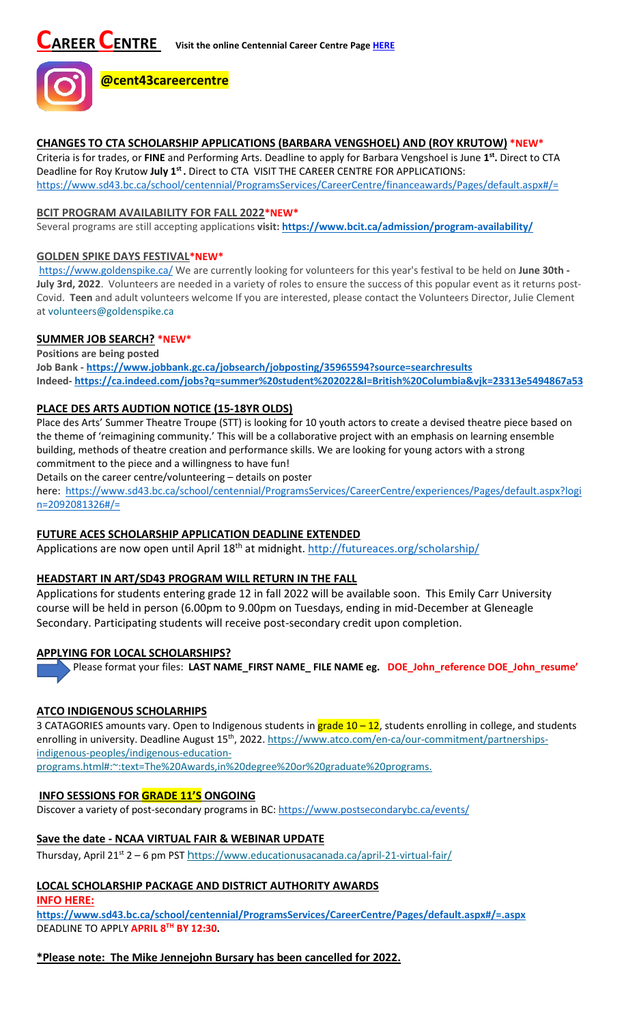

#### **CHANGES TO CTA SCHOLARSHIP APPLICATIONS (BARBARA VENGSHOEL) AND (ROY KRUTOW) \*NEW\***

Criteria is for trades, or **FINE** and Performing Arts. Deadline to apply for Barbara Vengshoel is June **1st.** Direct to CTA Deadline for Roy Krutow **July 1st .** Direct to CTA VISIT THE CAREER CENTRE FOR APPLICATIONS: <https://www.sd43.bc.ca/school/centennial/ProgramsServices/CareerCentre/financeawards/Pages/default.aspx#/=>

#### **BCIT PROGRAM AVAILABILITY FOR FALL 2022\*NEW\***

Several programs are still accepting applications **visit[: https://www.bcit.ca/admission/program-availability/](https://www.bcit.ca/admission/program-availability/)**

#### **GOLDEN SPIKE DAYS FESTIVAL\*NEW\***

<https://www.goldenspike.ca/> We are currently looking for volunteers for this year's festival to be held on **June 30th - July 3rd, 2022**. Volunteers are needed in a variety of roles to ensure the success of this popular event as it returns post-Covid. **Teen** and adult volunteers welcome If you are interested, please contact the Volunteers Director, Julie Clement at [volunteers@goldenspike.ca](mailto:volunteers@goldenspike.ca)

## **SUMMER JOB SEARCH? \*NEW\***

**Positions are being posted Job Bank - <https://www.jobbank.gc.ca/jobsearch/jobposting/35965594?source=searchresults> Indeed- <https://ca.indeed.com/jobs?q=summer%20student%202022&l=British%20Columbia&vjk=23313e5494867a53>**

## **PLACE DES ARTS AUDTION NOTICE (15-18YR OLDS)**

Place des Arts' Summer Theatre Troupe (STT) is looking for 10 youth actors to create a devised theatre piece based on the theme of 'reimagining community.' This will be a collaborative project with an emphasis on learning ensemble building, methods of theatre creation and performance skills. We are looking for young actors with a strong commitment to the piece and a willingness to have fun!

Details on the career centre/volunteering – details on poster

here: [https://www.sd43.bc.ca/school/centennial/ProgramsServices/CareerCentre/experiences/Pages/default.aspx?logi](https://www.sd43.bc.ca/school/centennial/ProgramsServices/CareerCentre/experiences/Pages/default.aspx?login=2092081326#/=) [n=2092081326#/=](https://www.sd43.bc.ca/school/centennial/ProgramsServices/CareerCentre/experiences/Pages/default.aspx?login=2092081326#/=)

## **FUTURE ACES SCHOLARSHIP APPLICATION DEADLINE EXTENDED**

Applications are now open until April 18<sup>th</sup> at midnight.<http://futureaces.org/scholarship/>

## **HEADSTART IN ART/SD43 PROGRAM WILL RETURN IN THE FALL**

Applications for students entering grade 12 in fall 2022 will be available soon. This Emily Carr University course will be held in person (6.00pm to 9.00pm on Tuesdays, ending in mid-December at Gleneagle Secondary. Participating students will receive post-secondary credit upon completion.

## **APPLYING FOR LOCAL SCHOLARSHIPS?**

Please format your files: **LAST NAME\_FIRST NAME\_ FILE NAME eg. DOE\_John\_reference DOE\_John\_resume'**

## **ATCO INDIGENOUS SCHOLARHIPS**

3 CATAGORIES amounts vary. Open to Indigenous students in grade 10 – 12, students enrolling in college, and students enrolling in university. Deadline August 15<sup>th</sup>, 2022[. https://www.atco.com/en-ca/our-commitment/partnerships](https://www.atco.com/en-ca/our-commitment/partnerships-indigenous-peoples/indigenous-education-programs.html#:%7E:text=The%20Awards,in%20degree%20or%20graduate%20programs.)[indigenous-peoples/indigenous-education-](https://www.atco.com/en-ca/our-commitment/partnerships-indigenous-peoples/indigenous-education-programs.html#:%7E:text=The%20Awards,in%20degree%20or%20graduate%20programs.)

[programs.html#:~:text=The%20Awards,in%20degree%20or%20graduate%20programs.](https://www.atco.com/en-ca/our-commitment/partnerships-indigenous-peoples/indigenous-education-programs.html#:%7E:text=The%20Awards,in%20degree%20or%20graduate%20programs.)

## **INFO SESSIONS FOR GRADE 11'S ONGOING**

Discover a variety of post-secondary programs in BC:<https://www.postsecondarybc.ca/events/>

## **Save the date - NCAA VIRTUAL FAIR & WEBINAR UPDATE**

Thursday, April 21<sup>st</sup> 2 – 6 pm PST h[ttps://www.educationusacanada.ca/april-21-virtual-fair/](https://www.educationusacanada.ca/april-21-virtual-fair/)

## **LOCAL SCHOLARSHIP PACKAGE AND DISTRICT AUTHORITY AWARDS**

**INFO HERE:** 

**[https://www.sd43.bc.ca/school/centennial/ProgramsServices/CareerCentre/Pages/default.aspx#/=.aspx](https://www.sd43.bc.ca/school/centennial/ProgramsServices/CareerCentre/Pages/default.aspx#/=)** DEADLINE TO APPLY **APRIL 8TH BY 12:30.**

# **\*Please note: The Mike Jennejohn Bursary has been cancelled for 2022.**